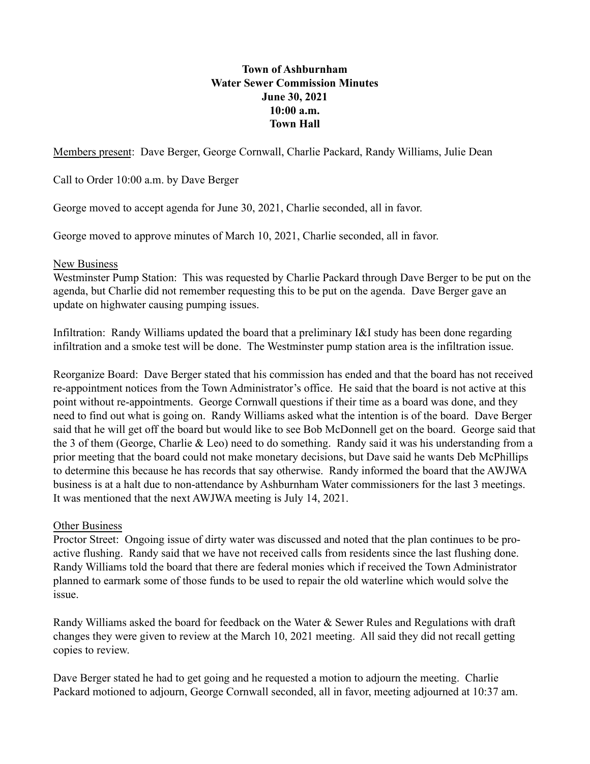## **Town of Ashburnham Water Sewer Commission Minutes June 30, 2021 10:00 a.m. Town Hall**

Members present: Dave Berger, George Cornwall, Charlie Packard, Randy Williams, Julie Dean

Call to Order 10:00 a.m. by Dave Berger

George moved to accept agenda for June 30, 2021, Charlie seconded, all in favor.

George moved to approve minutes of March 10, 2021, Charlie seconded, all in favor.

## New Business

Westminster Pump Station: This was requested by Charlie Packard through Dave Berger to be put on the agenda, but Charlie did not remember requesting this to be put on the agenda. Dave Berger gave an update on highwater causing pumping issues.

Infiltration: Randy Williams updated the board that a preliminary I&I study has been done regarding infiltration and a smoke test will be done. The Westminster pump station area is the infiltration issue.

Reorganize Board: Dave Berger stated that his commission has ended and that the board has not received re-appointment notices from the Town Administrator's office. He said that the board is not active at this point without re-appointments. George Cornwall questions if their time as a board was done, and they need to find out what is going on. Randy Williams asked what the intention is of the board. Dave Berger said that he will get off the board but would like to see Bob McDonnell get on the board. George said that the 3 of them (George, Charlie & Leo) need to do something. Randy said it was his understanding from a prior meeting that the board could not make monetary decisions, but Dave said he wants Deb McPhillips to determine this because he has records that say otherwise. Randy informed the board that the AWJWA business is at a halt due to non-attendance by Ashburnham Water commissioners for the last 3 meetings. It was mentioned that the next AWJWA meeting is July 14, 2021.

## Other Business

Proctor Street: Ongoing issue of dirty water was discussed and noted that the plan continues to be proactive flushing. Randy said that we have not received calls from residents since the last flushing done. Randy Williams told the board that there are federal monies which if received the Town Administrator planned to earmark some of those funds to be used to repair the old waterline which would solve the issue.

Randy Williams asked the board for feedback on the Water & Sewer Rules and Regulations with draft changes they were given to review at the March 10, 2021 meeting. All said they did not recall getting copies to review.

Dave Berger stated he had to get going and he requested a motion to adjourn the meeting. Charlie Packard motioned to adjourn, George Cornwall seconded, all in favor, meeting adjourned at 10:37 am.